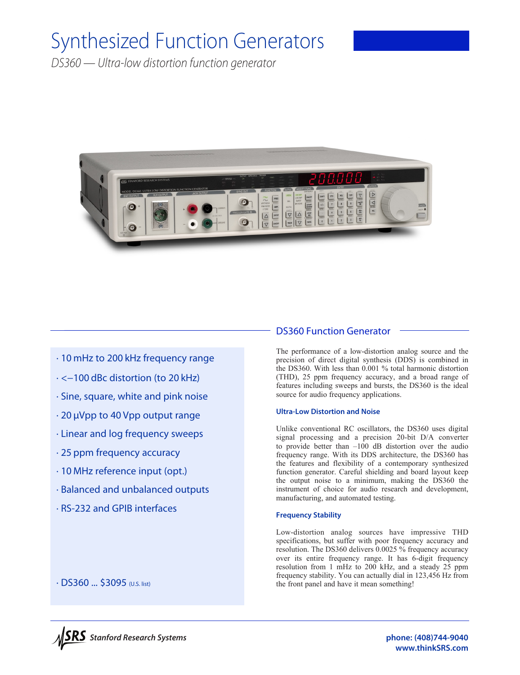# Synthesized Function Generators

*DS360 — Ultra-low distortion function generator*



# · 10 mHz to 200 kHz frequency range

- · <−100 dBc distortion (to 20 kHz)
- · Sine, square, white and pink noise
- · 20 µVpp to 40 Vpp output range
- · Linear and log frequency sweeps
- · 25 ppm frequency accuracy
- · 10 MHz reference input (opt.)
- · Balanced and unbalanced outputs
- · RS-232 and GPIB interfaces

## DS360 Function Generator

The performance of a low-distortion analog source and the precision of direct digital synthesis (DDS) is combined in the DS360. With less than 0.001 % total harmonic distortion (THD), 25 ppm frequency accuracy, and a broad range of features including sweeps and bursts, the DS360 is the ideal source for audio frequency applications.

#### **Ultra-Low Distortion and Noise**

Unlike conventional RC oscillators, the DS360 uses digital signal processing and a precision 20-bit D/A converter to provide better than –100 dB distortion over the audio frequency range. With its DDS architecture, the DS360 has the features and flexibility of a contemporary synthesized function generator. Careful shielding and board layout keep the output noise to a minimum, making the DS360 the instrument of choice for audio research and development, manufacturing, and automated testing.

#### **Frequency Stability**

Low-distortion analog sources have impressive THD specifications, but suffer with poor frequency accuracy and resolution. The DS360 delivers 0.0025 % frequency accuracy over its entire frequency range. It has 6-digit frequency resolution from 1 mHz to 200 kHz, and a steady 25 ppm frequency stability. You can actually dial in 123,456 Hz from the front panel and have it mean something!

· DS360 ... \$3095 (U.S. list)

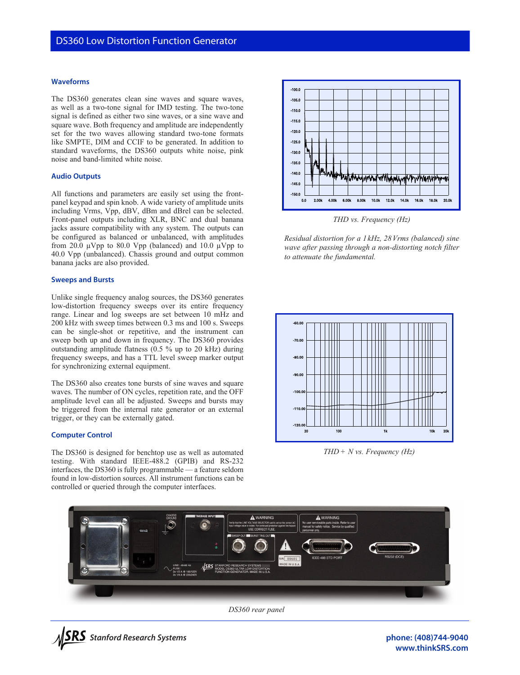#### **Waveforms**

The DS360 generates clean sine waves and square waves, as well as a two-tone signal for IMD testing. The two-tone signal is defined as either two sine waves, or a sine wave and square wave. Both frequency and amplitude are independently set for the two waves allowing standard two-tone formats like SMPTE, DIM and CCIF to be generated. In addition to standard waveforms, the DS360 outputs white noise, pink noise and band-limited white noise.

#### **Audio Outputs**

All functions and parameters are easily set using the frontpanel keypad and spin knob. A wide variety of amplitude units including Vrms, Vpp, dBV, dBm and dBrel can be selected. Front-panel outputs including XLR, BNC and dual banana jacks assure compatibility with any system. The outputs can be configured as balanced or unbalanced, with amplitudes from 20.0  $\mu$ Vpp to 80.0 Vpp (balanced) and 10.0  $\mu$ Vpp to 40.0 Vpp (unbalanced). Chassis ground and output common banana jacks are also provided.

#### **Sweeps and Bursts**

Unlike single frequency analog sources, the DS360 generates low-distortion frequency sweeps over its entire frequency range. Linear and log sweeps are set between 10 mHz and 200 kHz with sweep times between 0.3 ms and 100 s. Sweeps can be single-shot or repetitive, and the instrument can sweep both up and down in frequency. The DS360 provides outstanding amplitude flatness (0.5 % up to 20 kHz) during frequency sweeps, and has a TTL level sweep marker output for synchronizing external equipment.

The DS360 also creates tone bursts of sine waves and square waves. The number of ON cycles, repetition rate, and the OFF amplitude level can all be adjusted. Sweeps and bursts may be triggered from the internal rate generator or an external trigger, or they can be externally gated.

#### **Computer Control**

The DS360 is designed for benchtop use as well as automated testing. With standard IEEE-488.2 (GPIB) and RS-232 interfaces, the DS360 is fully programmable — a feature seldom found in low-distortion sources. All instrument functions can be controlled or queried through the computer interfaces.



*THD vs. Frequency (Hz)*

*Residual distortion for a 1 kHz, 28Vrms (balanced) sine wave after passing through a non-distorting notch filter to attenuate the fundamental.*



*THD+ N vs. Frequency (Hz)*



*DS360 rear panel*



**www.thinkSRS.com**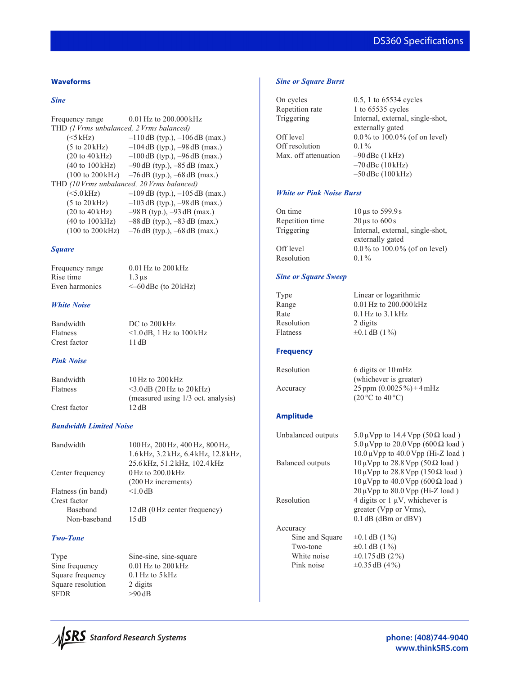# DS360 Specifications

#### **Waveforms**

#### *Sine*

```
Frequency range 0.01 Hz to 200.000 kHz
THD (1Vrms unbalanced, 2Vrms balanced)
    (<5 kHz) –110 dB (typ.), –106 dB (max.)
    (5 to 20 kHz) –104 dB (typ.), –98 dB (max.)
    (20 to 40 \text{ kHz}) -100 \text{ dB (typ.)}, -96 \text{ dB (max.)}(40 \text{ to } 100 \text{ kHz}) –90 dB (typ.), -85 \text{ dB (max.)}(100 to 200 \text{ kHz}) –76 dB (typ.), –68 dB (max.)
THD (10Vrms unbalanced, 20Vrms balanced)
    (<5.0 kHz) –109 dB (typ.), -105 dB (max.)
    (5 to 20 kHz) -103 dB (typ.), -98 dB (max.)
    (20 to 40 \text{ kHz}) – 98 B (typ.), -93 dB (max.)
    (40 to 100 \text{ kHz}) –88 dB (typ.), –83 dB (max.)
    (100 to 200 kHz) –76 dB (typ.), –68 dB (max.)
```
#### *Square*

Rise time  $1.3 \,\mu s$ 

Frequency range 0.01 Hz to 200 kHz Even harmonics  $\leq -60$  dBc (to 20 kHz)

#### *White Noise*

Bandwidth DC to 200 kHz Flatness <1.0 dB, 1 Hz to  $100 \text{ kHz}$ Crest factor 11 dB

*Pink Noise* 

Bandwidth 10Hz to 200 kHz Flatness  $<$ 3.0 dB (20 Hz to 20 kHz) (measured using 1/3 oct. analysis) Crest factor 12 dB

#### *Bandwidth Limited Noise*

| Bandwidth          | 100 Hz, 200 Hz, 400 Hz, 800 Hz,      |
|--------------------|--------------------------------------|
|                    | 1.6 kHz, 3.2 kHz, 6.4 kHz, 12.8 kHz, |
|                    | 25.6 kHz, 51.2 kHz, 102.4 kHz        |
| Center frequency   | 0 Hz to 200.0 kHz                    |
|                    | (200 Hz increments)                  |
| Flatness (in band) | $< 1.0$ dB                           |
| Crest factor       |                                      |
| <b>Baseband</b>    | 12 dB (0 Hz center frequency)        |
| Non-baseband       | 15dB                                 |
|                    |                                      |
|                    |                                      |

### *Two-Tone*

Square frequency 0.1 Hz to 5 kHz Square resolution 2 digits<br>SFDR  $>90 \text{ dB}$ 

Type Sine-sine, sine-square Sine frequency 0.01 Hz to 200 kHz  $>90$  dB

#### *Sine or Square Burst*

| 0.5, 1 to 65534 cycles   |
|--------------------------|
| 1 to 65535 cycles        |
| Internal, external, sing |
| externally gated         |
| 0.0% to $100.0\%$ (of o  |
| $0.1\%$                  |
| $-90$ dBc $(1$ kHz)      |
| $-70$ dBc $(10$ kHz)     |
|                          |

nternal, external, single-shot, externally gated Off level  $0.0\%$  to  $100.0\%$  (of on level) –70 dBc (10 kHz) –50 dBc (100 kHz)

#### *White or Pink Noise Burst*

| $10 \,\mu s$ to 599.9 s          |
|----------------------------------|
| $20 \,\mu s$ to $600 s$          |
| Internal, external, single-shot, |
| externally gated                 |
| $0.0\%$ to 100.0% (of on level)  |
| $0.1\%$                          |
|                                  |

#### *Sine or Square Sweep*

| 1 ype      |  |
|------------|--|
| Range      |  |
| Rate       |  |
| Resolution |  |
| Flatness   |  |

Linear or logarithmic  $0.01$  Hz to  $200.000$  kHz  $0.1$  Hz to  $3.1$  kHz 2 digits  $\pm 0.1$  dB (1%)

#### **Frequency**

| resolution |  |
|------------|--|
|            |  |
| Accuracy   |  |

blution 6 digits or  $10 \text{ mHz}$  (whichever is greater) 25 ppm  $(0.0025\%)+4mHz$  $(20 °C)$  to  $40 °C)$ 

#### **Amplitude**

| Unbalanced outputs | $5.0 \,\mu\text{Vpp}$ to 14.4 Vpp (50 $\Omega$ load)                    |  |  |
|--------------------|-------------------------------------------------------------------------|--|--|
|                    | $5.0 \,\mathrm{\upmu Vpp}$ to $20.0 \,\mathrm{Vpp}$ (600 $\Omega$ load) |  |  |
|                    | $10.0 \,\mu V$ pp to $40.0 \,\text{Vpp}$ (Hi-Z load)                    |  |  |
| Balanced outputs   | $10 \mu Vpp$ to 28.8 Vpp (50 $\Omega$ load)                             |  |  |
|                    | $10 \mu Vpp$ to 28.8 Vpp (150 $\Omega$ load)                            |  |  |
|                    | $10 \mu V$ pp to $40.0 V$ pp (600 $\Omega$ load)                        |  |  |
|                    | $20 \mu Vpp$ to $80.0 Vpp$ (Hi-Z load)                                  |  |  |
| Resolution         | 4 digits or $1 \mu V$ , whichever is                                    |  |  |
|                    | greater (Vpp or Vrms),                                                  |  |  |
|                    | $0.1$ dB (dBm or dBV)                                                   |  |  |
| Accuracy           |                                                                         |  |  |
| Sine and Square    | $\pm 0.1$ dB (1%)                                                       |  |  |
| Two-tone           | $\pm 0.1$ dB (1%)                                                       |  |  |
| White noise        | $\pm 0.175$ dB (2%)                                                     |  |  |
| Pink noise         | $\pm 0.35$ dB (4%)                                                      |  |  |
|                    |                                                                         |  |  |



**phone: (408)744-9040 www.thinkSRS.com**